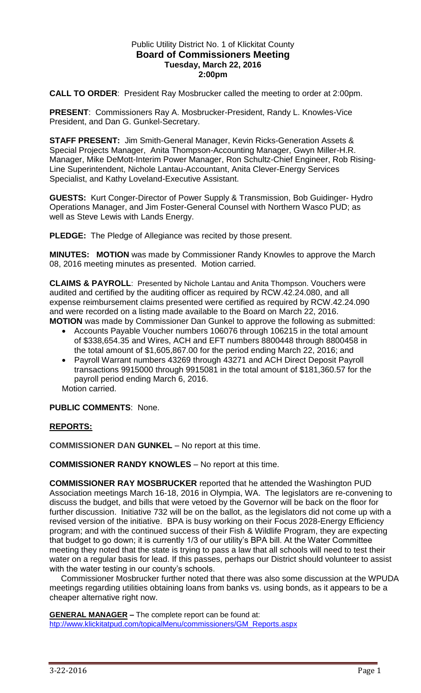## Public Utility District No. 1 of Klickitat County **Board of Commissioners Meeting Tuesday, March 22, 2016 2:00pm**

**CALL TO ORDER**: President Ray Mosbrucker called the meeting to order at 2:00pm.

**PRESENT**: Commissioners Ray A. Mosbrucker-President, Randy L. Knowles-Vice President, and Dan G. Gunkel-Secretary.

**STAFF PRESENT:** Jim Smith-General Manager, Kevin Ricks-Generation Assets & Special Projects Manager, Anita Thompson-Accounting Manager, Gwyn Miller-H.R. Manager, Mike DeMott-Interim Power Manager, Ron Schultz-Chief Engineer, Rob Rising-Line Superintendent, Nichole Lantau-Accountant, Anita Clever-Energy Services Specialist, and Kathy Loveland-Executive Assistant.

**GUESTS:** Kurt Conger-Director of Power Supply & Transmission, Bob Guidinger- Hydro Operations Manager, and Jim Foster-General Counsel with Northern Wasco PUD; as well as Steve Lewis with Lands Energy.

**PLEDGE:** The Pledge of Allegiance was recited by those present.

**MINUTES: MOTION** was made by Commissioner Randy Knowles to approve the March 08, 2016 meeting minutes as presented. Motion carried.

**CLAIMS & PAYROLL**: Presented by Nichole Lantau and Anita Thompson. Vouchers were audited and certified by the auditing officer as required by RCW.42.24.080, and all expense reimbursement claims presented were certified as required by RCW.42.24.090 and were recorded on a listing made available to the Board on March 22, 2016. **MOTION** was made by Commissioner Dan Gunkel to approve the following as submitted:

- Accounts Payable Voucher numbers 106076 through 106215 in the total amount of \$338,654.35 and Wires, ACH and EFT numbers 8800448 through 8800458 in the total amount of \$1,605,867.00 for the period ending March 22, 2016; and
- Payroll Warrant numbers 43269 through 43271 and ACH Direct Deposit Payroll transactions 9915000 through 9915081 in the total amount of \$181,360.57 for the payroll period ending March 6, 2016.

Motion carried.

**PUBLIC COMMENTS**: None.

## **REPORTS:**

**COMMISSIONER DAN GUNKEL** – No report at this time.

**COMMISSIONER RANDY KNOWLES** – No report at this time.

**COMMISSIONER RAY MOSBRUCKER** reported that he attended the Washington PUD Association meetings March 16-18, 2016 in Olympia, WA. The legislators are re-convening to discuss the budget, and bills that were vetoed by the Governor will be back on the floor for further discussion. Initiative 732 will be on the ballot, as the legislators did not come up with a revised version of the initiative. BPA is busy working on their Focus 2028-Energy Efficiency program; and with the continued success of their Fish & Wildlife Program, they are expecting that budget to go down; it is currently 1/3 of our utility's BPA bill. At the Water Committee meeting they noted that the state is trying to pass a law that all schools will need to test their water on a regular basis for lead. If this passes, perhaps our District should volunteer to assist with the water testing in our county's schools.

 Commissioner Mosbrucker further noted that there was also some discussion at the WPUDA meetings regarding utilities obtaining loans from banks vs. using bonds, as it appears to be a cheaper alternative right now.

**GENERAL MANAGER –** The complete report can be found at: [htp://www.klickitatpud.com/topicalMenu/commissioners/GM\\_Reports.aspx](http://www.klickitatpud.com/topicalMenu/commissioners/GM_Reports.aspx)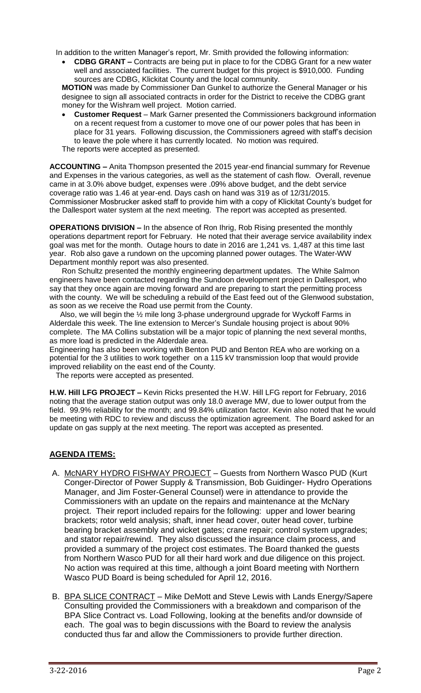In addition to the written Manager's report, Mr. Smith provided the following information:

 **CDBG GRANT –** Contracts are being put in place to for the CDBG Grant for a new water well and associated facilities. The current budget for this project is \$910,000. Funding sources are CDBG, Klickitat County and the local community.

**MOTION** was made by Commissioner Dan Gunkel to authorize the General Manager or his designee to sign all associated contracts in order for the District to receive the CDBG grant money for the Wishram well project. Motion carried.

**Customer Request** – Mark Garner presented the Commissioners background information on a recent request from a customer to move one of our power poles that has been in place for 31 years. Following discussion, the Commissioners agreed with staff's decision to leave the pole where it has currently located. No motion was required. The reports were accepted as presented.

**ACCOUNTING –** Anita Thompson presented the 2015 year-end financial summary for Revenue and Expenses in the various categories, as well as the statement of cash flow. Overall, revenue came in at 3.0% above budget, expenses were .09% above budget, and the debt service coverage ratio was 1.46 at year-end. Days cash on hand was 319 as of 12/31/2015. Commissioner Mosbrucker asked staff to provide him with a copy of Klickitat County's budget for the Dallesport water system at the next meeting. The report was accepted as presented.

**OPERATIONS DIVISION –** In the absence of Ron Ihrig, Rob Rising presented the monthly operations department report for February. He noted that their average service availability index goal was met for the month. Outage hours to date in 2016 are 1,241 vs. 1,487 at this time last year. Rob also gave a rundown on the upcoming planned power outages. The Water-WW Department monthly report was also presented.

Ron Schultz presented the monthly engineering department updates. The White Salmon engineers have been contacted regarding the Sundoon development project in Dallesport, who say that they once again are moving forward and are preparing to start the permitting process with the county. We will be scheduling a rebuild of the East feed out of the Glenwood substation, as soon as we receive the Road use permit from the County.

 Also, we will begin the ½ mile long 3-phase underground upgrade for Wyckoff Farms in Alderdale this week. The line extension to Mercer's Sundale housing project is about 90% complete. The MA Collins substation will be a major topic of planning the next several months, as more load is predicted in the Alderdale area.

Engineering has also been working with Benton PUD and Benton REA who are working on a potential for the 3 utilities to work together on a 115 kV transmission loop that would provide improved reliability on the east end of the County.

The reports were accepted as presented.

**H.W. Hill LFG PROJECT –** Kevin Ricks presented the H.W. Hill LFG report for February, 2016 noting that the average station output was only 18.0 average MW, due to lower output from the field. 99.9% reliability for the month; and 99.84% utilization factor. Kevin also noted that he would be meeting with RDC to review and discuss the optimization agreement. The Board asked for an update on gas supply at the next meeting. The report was accepted as presented.

## **AGENDA ITEMS:**

- A. McNARY HYDRO FISHWAY PROJECT Guests from Northern Wasco PUD (Kurt Conger-Director of Power Supply & Transmission, Bob Guidinger- Hydro Operations Manager, and Jim Foster-General Counsel) were in attendance to provide the Commissioners with an update on the repairs and maintenance at the McNary project. Their report included repairs for the following: upper and lower bearing brackets; rotor weld analysis; shaft, inner head cover, outer head cover, turbine bearing bracket assembly and wicket gates; crane repair; control system upgrades; and stator repair/rewind. They also discussed the insurance claim process, and provided a summary of the project cost estimates. The Board thanked the guests from Northern Wasco PUD for all their hard work and due diligence on this project. No action was required at this time, although a joint Board meeting with Northern Wasco PUD Board is being scheduled for April 12, 2016.
- B. BPA SLICE CONTRACT Mike DeMott and Steve Lewis with Lands Energy/Sapere Consulting provided the Commissioners with a breakdown and comparison of the BPA Slice Contract vs. Load Following, looking at the benefits and/or downside of each. The goal was to begin discussions with the Board to review the analysis conducted thus far and allow the Commissioners to provide further direction.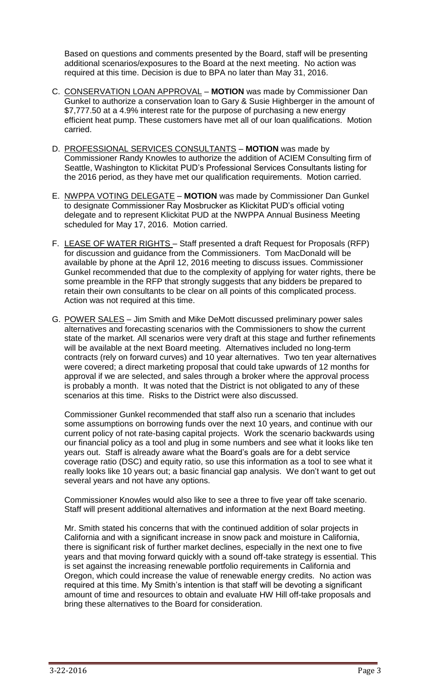Based on questions and comments presented by the Board, staff will be presenting additional scenarios/exposures to the Board at the next meeting. No action was required at this time. Decision is due to BPA no later than May 31, 2016.

- C. CONSERVATION LOAN APPROVAL **MOTION** was made by Commissioner Dan Gunkel to authorize a conservation loan to Gary & Susie Highberger in the amount of \$7,777.50 at a 4.9% interest rate for the purpose of purchasing a new energy efficient heat pump. These customers have met all of our loan qualifications. Motion carried.
- D. PROFESSIONAL SERVICES CONSULTANTS **MOTION** was made by Commissioner Randy Knowles to authorize the addition of ACIEM Consulting firm of Seattle, Washington to Klickitat PUD's Professional Services Consultants listing for the 2016 period, as they have met our qualification requirements. Motion carried.
- E. NWPPA VOTING DELEGATE **MOTION** was made by Commissioner Dan Gunkel to designate Commissioner Ray Mosbrucker as Klickitat PUD's official voting delegate and to represent Klickitat PUD at the NWPPA Annual Business Meeting scheduled for May 17, 2016. Motion carried.
- F. LEASE OF WATER RIGHTS Staff presented a draft Request for Proposals (RFP) for discussion and guidance from the Commissioners. Tom MacDonald will be available by phone at the April 12, 2016 meeting to discuss issues. Commissioner Gunkel recommended that due to the complexity of applying for water rights, there be some preamble in the RFP that strongly suggests that any bidders be prepared to retain their own consultants to be clear on all points of this complicated process. Action was not required at this time.
- G. POWER SALES Jim Smith and Mike DeMott discussed preliminary power sales alternatives and forecasting scenarios with the Commissioners to show the current state of the market. All scenarios were very draft at this stage and further refinements will be available at the next Board meeting. Alternatives included no long-term contracts (rely on forward curves) and 10 year alternatives. Two ten year alternatives were covered; a direct marketing proposal that could take upwards of 12 months for approval if we are selected, and sales through a broker where the approval process is probably a month. It was noted that the District is not obligated to any of these scenarios at this time. Risks to the District were also discussed.

Commissioner Gunkel recommended that staff also run a scenario that includes some assumptions on borrowing funds over the next 10 years, and continue with our current policy of not rate-basing capital projects. Work the scenario backwards using our financial policy as a tool and plug in some numbers and see what it looks like ten years out. Staff is already aware what the Board's goals are for a debt service coverage ratio (DSC) and equity ratio, so use this information as a tool to see what it really looks like 10 years out; a basic financial gap analysis. We don't want to get out several years and not have any options.

Commissioner Knowles would also like to see a three to five year off take scenario. Staff will present additional alternatives and information at the next Board meeting.

Mr. Smith stated his concerns that with the continued addition of solar projects in California and with a significant increase in snow pack and moisture in California, there is significant risk of further market declines, especially in the next one to five years and that moving forward quickly with a sound off-take strategy is essential. This is set against the increasing renewable portfolio requirements in California and Oregon, which could increase the value of renewable energy credits. No action was required at this time. My Smith's intention is that staff will be devoting a significant amount of time and resources to obtain and evaluate HW Hill off-take proposals and bring these alternatives to the Board for consideration.